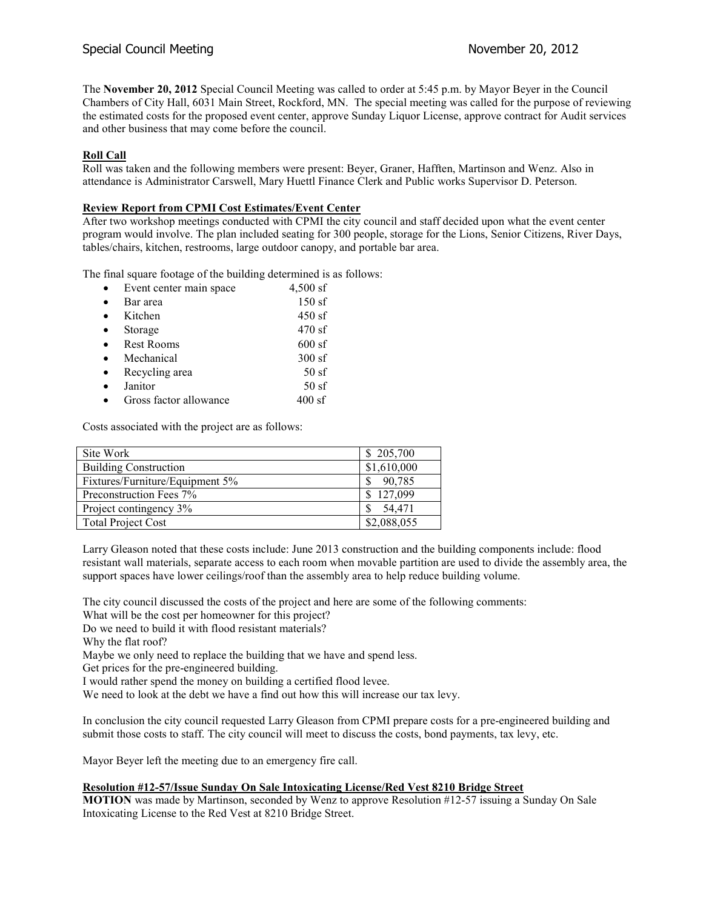The **November 20, 2012** Special Council Meeting was called to order at 5:45 p.m. by Mayor Beyer in the Council Chambers of City Hall, 6031 Main Street, Rockford, MN. The special meeting was called for the purpose of reviewing the estimated costs for the proposed event center, approve Sunday Liquor License, approve contract for Audit services and other business that may come before the council.

## **Roll Call**

Roll was taken and the following members were present: Beyer, Graner, Hafften, Martinson and Wenz. Also in attendance is Administrator Carswell, Mary Huettl Finance Clerk and Public works Supervisor D. Peterson.

### **Review Report from CPMI Cost Estimates/Event Center**

After two workshop meetings conducted with CPMI the city council and staff decided upon what the event center program would involve. The plan included seating for 300 people, storage for the Lions, Senior Citizens, River Days, tables/chairs, kitchen, restrooms, large outdoor canopy, and portable bar area.

The final square footage of the building determined is as follows:

| $\bullet$ | Event center main space | $4,500$ sf |
|-----------|-------------------------|------------|
| $\bullet$ | Bar area                | 150 sf     |
| $\bullet$ | Kitchen                 | $450$ sf   |
| $\bullet$ | Storage                 | 470sf      |
| $\bullet$ | <b>Rest Rooms</b>       | $600$ sf   |
| $\bullet$ | Mechanical              | 300sf      |
| $\bullet$ | Recycling area          | 50sf       |
| $\bullet$ | Janitor                 | 50sf       |
| $\bullet$ | Gross factor allowance  | $400$ sf   |

Costs associated with the project are as follows:

| Site Work                       | \$205,700   |
|---------------------------------|-------------|
| <b>Building Construction</b>    | \$1,610,000 |
| Fixtures/Furniture/Equipment 5% | 90,785      |
| Preconstruction Fees 7%         | 127,099     |
| Project contingency 3%          | 54,471      |
| <b>Total Project Cost</b>       | \$2,088,055 |

Larry Gleason noted that these costs include: June 2013 construction and the building components include: flood resistant wall materials, separate access to each room when movable partition are used to divide the assembly area, the support spaces have lower ceilings/roof than the assembly area to help reduce building volume.

The city council discussed the costs of the project and here are some of the following comments:

What will be the cost per homeowner for this project?

Do we need to build it with flood resistant materials?

Why the flat roof?

Maybe we only need to replace the building that we have and spend less.

Get prices for the pre-engineered building.

I would rather spend the money on building a certified flood levee.

We need to look at the debt we have a find out how this will increase our tax levy.

In conclusion the city council requested Larry Gleason from CPMI prepare costs for a pre-engineered building and submit those costs to staff. The city council will meet to discuss the costs, bond payments, tax levy, etc.

Mayor Beyer left the meeting due to an emergency fire call.

### **Resolution #12-57/Issue Sunday On Sale Intoxicating License/Red Vest 8210 Bridge Street**

**MOTION** was made by Martinson, seconded by Wenz to approve Resolution #12-57 issuing a Sunday On Sale Intoxicating License to the Red Vest at 8210 Bridge Street.